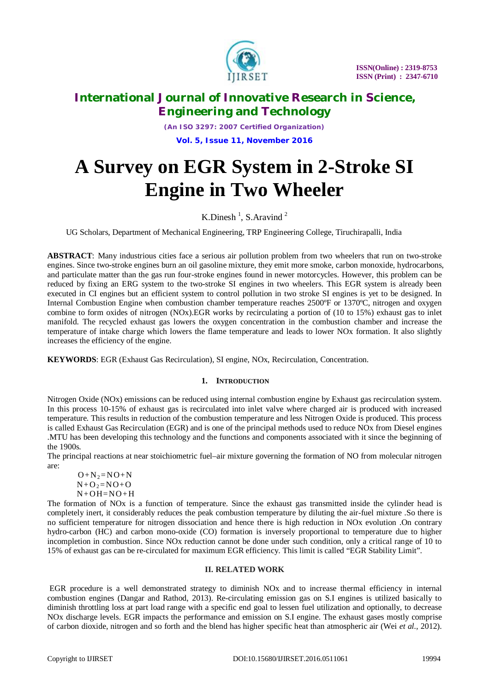

*(An ISO 3297: 2007 Certified Organization)* **Vol. 5, Issue 11, November 2016**

# **A Survey on EGR System in 2-Stroke SI Engine in Two Wheeler**

### K.Dinesh<sup>1</sup>, S.Aravind<sup>2</sup>

UG Scholars, Department of Mechanical Engineering, TRP Engineering College, Tiruchirapalli, India

**ABSTRACT**: Many industrious cities face a serious air pollution problem from two wheelers that run on two-stroke engines. Since two-stroke engines burn an oil gasoline mixture, they emit more smoke, carbon monoxide, hydrocarbons, and particulate matter than the gas run four-stroke engines found in newer motorcycles. However, this problem can be reduced by fixing an ERG system to the two-stroke SI engines in two wheelers. This EGR system is already been executed in CI engines but an efficient system to control pollution in two stroke SI engines is yet to be designed. In Internal Combustion Engine when combustion chamber temperature reaches 2500ºF or 1370ºC, nitrogen and oxygen combine to form oxides of nitrogen (NOx).EGR works by recirculating a portion of (10 to 15%) exhaust gas to inlet manifold. The recycled exhaust gas lowers the oxygen concentration in the combustion chamber and increase the temperature of intake charge which lowers the flame temperature and leads to lower NOx formation. It also slightly increases the efficiency of the engine.

**KEYWORDS**: EGR (Exhaust Gas Recirculation), SI engine, NOx, Recirculation, Concentration.

### **1. INTRODUCTION**

Nitrogen Oxide (NOx) emissions can be reduced using internal combustion engine by Exhaust gas recirculation system. In this process 10-15% of exhaust gas is recirculated into inlet valve where charged air is produced with increased temperature. This results in reduction of the combustion temperature and less Nitrogen Oxide is produced. This process is called Exhaust Gas Recirculation (EGR) and is one of the principal methods used to reduce NOx from Diesel engines .MTU has been developing this technology and the functions and components associated with it since the beginning of the 1900s.

The principal reactions at near stoichiometric fuel–air mixture governing the formation of NO from molecular nitrogen are:

 $O + N<sub>2</sub>= NO + N$  $N+O_2=NO+O$  $N+OH=NO+H$ 

The formation of NOx is a function of temperature. Since the exhaust gas transmitted inside the cylinder head is completely inert, it considerably reduces the peak combustion temperature by diluting the air-fuel mixture .So there is no sufficient temperature for nitrogen dissociation and hence there is high reduction in NOx evolution .On contrary hydro-carbon (HC) and carbon mono-oxide (CO) formation is inversely proportional to temperature due to higher incompletion in combustion. Since NOx reduction cannot be done under such condition, only a critical range of 10 to 15% of exhaust gas can be re-circulated for maximum EGR efficiency. This limit is called "EGR Stability Limit".

### **II. RELATED WORK**

EGR procedure is a well demonstrated strategy to diminish NOx and to increase thermal efficiency in internal combustion engines (Dangar and Rathod, 2013). Re-circulating emission gas on S.I engines is utilized basically to diminish throttling loss at part load range with a specific end goal to lessen fuel utilization and optionally, to decrease NOx discharge levels. EGR impacts the performance and emission on S.I engine. The exhaust gases mostly comprise of carbon dioxide, nitrogen and so forth and the blend has higher specific heat than atmospheric air (Wei *et al.,* 2012).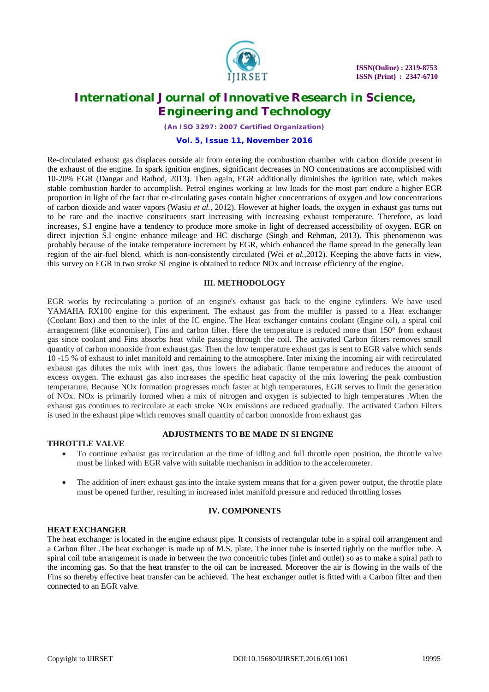

*(An ISO 3297: 2007 Certified Organization)*

### **Vol. 5, Issue 11, November 2016**

Re-circulated exhaust gas displaces outside air from entering the combustion chamber with carbon dioxide present in the exhaust of the engine. In spark ignition engines, significant decreases in NO concentrations are accomplished with 10-20% EGR (Dangar and Rathod, 2013). Then again, EGR additionally diminishes the ignition rate, which makes stable combustion harder to accomplish. Petrol engines working at low loads for the most part endure a higher EGR proportion in light of the fact that re-circulating gases contain higher concentrations of oxygen and low concentrations of carbon dioxide and water vapors (Wasiu *et al.,* 2012). However at higher loads, the oxygen in exhaust gas turns out to be rare and the inactive constituents start increasing with increasing exhaust temperature. Therefore, as load increases, S.I engine have a tendency to produce more smoke in light of decreased accessibility of oxygen. EGR on direct injection S.I engine enhance mileage and HC discharge (Singh and Rehman, 2013). This phenomenon was probably because of the intake temperature increment by EGR, which enhanced the flame spread in the generally lean region of the air-fuel blend, which is non-consistently circulated (Wei *et al.,*2012). Keeping the above facts in view, this survey on EGR in two stroke SI engine is obtained to reduce NOx and increase efficiency of the engine.

#### **III. METHODOLOGY**

EGR works by recirculating a portion of an engine's exhaust gas back to the engine cylinders. We have used YAMAHA RX100 engine for this experiment. The exhaust gas from the muffler is passed to a Heat exchanger (Coolant Box) and then to the inlet of the IC engine. The Heat exchanger contains coolant (Engine oil), a spiral coil arrangement (like economiser), Fins and carbon filter. Here the temperature is reduced more than 150° from exhaust gas since coolant and Fins absorbs heat while passing through the coil. The activated Carbon filters removes small quantity of carbon monoxide from exhaust gas. Then the low temperature exhaust gas is sent to EGR valve which sends 10 -15 % of exhaust to inlet manifold and remaining to the atmosphere. Inter mixing the incoming air with recirculated exhaust gas dilutes the mix with inert gas, thus lowers the adiabatic flame temperature and reduces the amount of excess oxygen. The exhaust gas also increases the specific heat capacity of the mix lowering the peak combustion temperature. Because NOx formation progresses much faster at high temperatures, EGR serves to limit the generation of NOx. NOx is primarily formed when a mix of nitrogen and oxygen is subjected to high temperatures .When the exhaust gas continues to recirculate at each stroke NOx emissions are reduced gradually. The activated Carbon Filters is used in the exhaust pipe which removes small quantity of carbon monoxide from exhaust gas

### **ADJUSTMENTS TO BE MADE IN SI ENGINE**

#### **THROTTLE VALVE**

- To continue exhaust gas recirculation at the time of idling and full throttle open position, the throttle valve must be linked with EGR valve with suitable mechanism in addition to the accelerometer.
- The addition of inert exhaust gas into the intake system means that for a given power output, the throttle plate must be opened further, resulting in increased inlet manifold pressure and reduced throttling losses

### **IV. COMPONENTS**

#### **HEAT EXCHANGER**

The heat exchanger is located in the engine exhaust pipe. It consists of rectangular tube in a spiral coil arrangement and a Carbon filter .The heat exchanger is made up of M.S. plate. The inner tube is inserted tightly on the muffler tube. A spiral coil tube arrangement is made in between the two concentric tubes (inlet and outlet) so as to make a spiral path to the incoming gas. So that the heat transfer to the oil can be increased. Moreover the air is flowing in the walls of the Fins so thereby effective heat transfer can be achieved. The heat exchanger outlet is fitted with a Carbon filter and then connected to an EGR valve.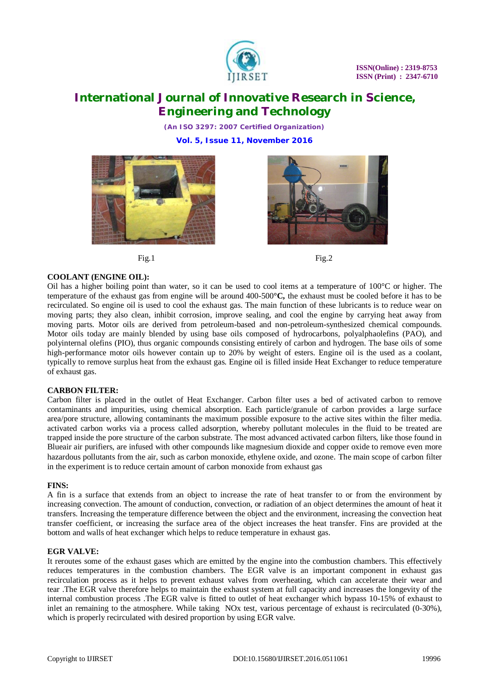

*(An ISO 3297: 2007 Certified Organization)*

**Vol. 5, Issue 11, November 2016**







### **COOLANT (ENGINE OIL):**

Oil has a higher boiling point than water, so it can be used to cool items at a temperature of  $100^{\circ}$ C or higher. The temperature of the exhaust gas from engine will be around 400-500**°C,** the exhaust must be cooled before it has to be recirculated. So engine oil is used to cool the exhaust gas. The main function of these lubricants is to reduce wear on moving parts; they also clean, inhibit corrosion, improve sealing, and cool the engine by carrying heat away from moving parts. Motor oils are derived from petroleum-based and non-petroleum-synthesized chemical compounds. Motor oils today are mainly blended by using base oils composed of hydrocarbons, polyalphaolefins (PAO), and polyinternal olefins (PIO), thus organic compounds consisting entirely of carbon and hydrogen. The base oils of some high-performance motor oils however contain up to 20% by weight of esters. Engine oil is the used as a coolant, typically to remove surplus heat from the exhaust gas. Engine oil is filled inside Heat Exchanger to reduce temperature of exhaust gas.

### **CARBON FILTER:**

Carbon filter is placed in the outlet of Heat Exchanger. Carbon filter uses a bed of activated carbon to remove contaminants and impurities, using chemical absorption. Each particle/granule of carbon provides a large surface area/pore structure, allowing contaminants the maximum possible exposure to the active sites within the filter media. activated carbon works via a process called adsorption, whereby pollutant molecules in the fluid to be treated are trapped inside the pore structure of the carbon substrate. The most advanced activated carbon filters, like those found in Blueair air purifiers, are infused with other compounds like magnesium dioxide and copper oxide to remove even more hazardous pollutants from the air, such as carbon monoxide, ethylene oxide, and ozone. The main scope of carbon filter in the experiment is to reduce certain amount of carbon monoxide from exhaust gas

#### **FINS:**

A fin is a surface that extends from an object to increase the rate of heat transfer to or from the environment by increasing convection. The amount of conduction, convection, or radiation of an object determines the amount of heat it transfers. Increasing the temperature difference between the object and the environment, increasing the convection heat transfer coefficient, or increasing the surface area of the object increases the heat transfer. Fins are provided at the bottom and walls of heat exchanger which helps to reduce temperature in exhaust gas.

#### **EGR VALVE:**

It reroutes some of the exhaust gases which are emitted by the engine into the combustion chambers. This effectively reduces temperatures in the combustion chambers. The EGR valve is an important component in exhaust gas recirculation process as it helps to prevent exhaust valves from overheating, which can accelerate their wear and tear .The EGR valve therefore helps to maintain the exhaust system at full capacity and increases the longevity of the internal combustion process .The EGR valve is fitted to outlet of heat exchanger which bypass 10-15% of exhaust to inlet an remaining to the atmosphere. While taking NOx test, various percentage of exhaust is recirculated (0-30%), which is properly recirculated with desired proportion by using EGR valve.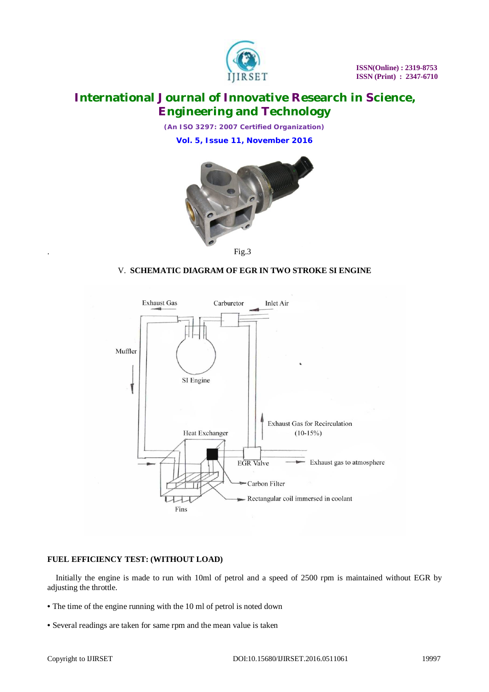

*(An ISO 3297: 2007 Certified Organization)*

**Vol. 5, Issue 11, November 2016**



. Fig.3

### V. **SCHEMATIC DIAGRAM OF EGR IN TWO STROKE SI ENGINE**



### **FUEL EFFICIENCY TEST: (WITHOUT LOAD)**

 Initially the engine is made to run with 10ml of petrol and a speed of 2500 rpm is maintained without EGR by adjusting the throttle.

- The time of the engine running with the 10 ml of petrol is noted down
- Several readings are taken for same rpm and the mean value is taken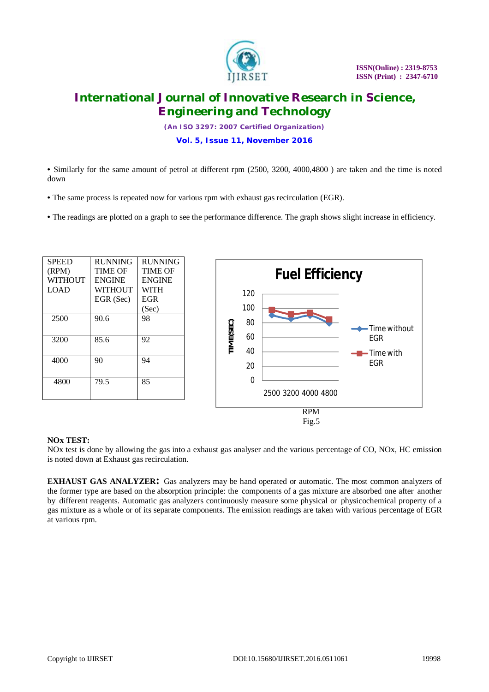

*(An ISO 3297: 2007 Certified Organization)*

**Vol. 5, Issue 11, November 2016**

• Similarly for the same amount of petrol at different rpm (2500, 3200, 4000,4800 ) are taken and the time is noted down

- The same process is repeated now for various rpm with exhaust gas recirculation (EGR).
- The readings are plotted on a graph to see the performance difference. The graph shows slight increase in efficiency.

| <b>SPEED</b>   | <b>RUNNING</b> | <b>RUNNING</b> |
|----------------|----------------|----------------|
| (RPM)          | <b>TIME OF</b> | <b>TIME OF</b> |
| <b>WITHOUT</b> | <b>ENGINE</b>  | <b>ENGINE</b>  |
| LOAD           | WITHOUT        | <b>WITH</b>    |
|                | EGR (Sec)      | <b>EGR</b>     |
|                |                | (Sec)          |
| 2500           | 90.6           | 98             |
| 3200           | 85.6           | 92             |
| 4000           | 90             | 94             |
| 4800           | 79.5           | 85             |



### **NOx TEST:**

NOx test is done by allowing the gas into a exhaust gas analyser and the various percentage of CO, NOx, HC emission is noted down at Exhaust gas recirculation.

**EXHAUST GAS ANALYZER:** Gas analyzers may be hand operated or automatic. The most common analyzers of the former type are based on the absorption principle: the components of a gas mixture are absorbed one after another by different reagents. Automatic gas analyzers continuously measure some physical or physicochemical property of a gas mixture as a whole or of its separate components. The emission readings are taken with various percentage of EGR at various rpm.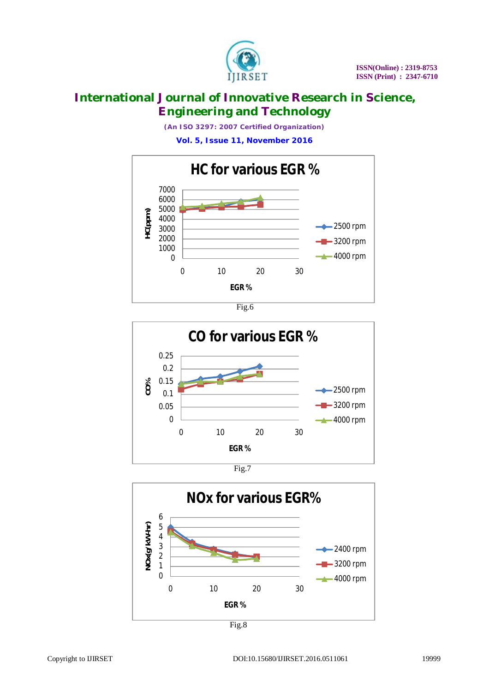

*(An ISO 3297: 2007 Certified Organization)*

**Vol. 5, Issue 11, November 2016**